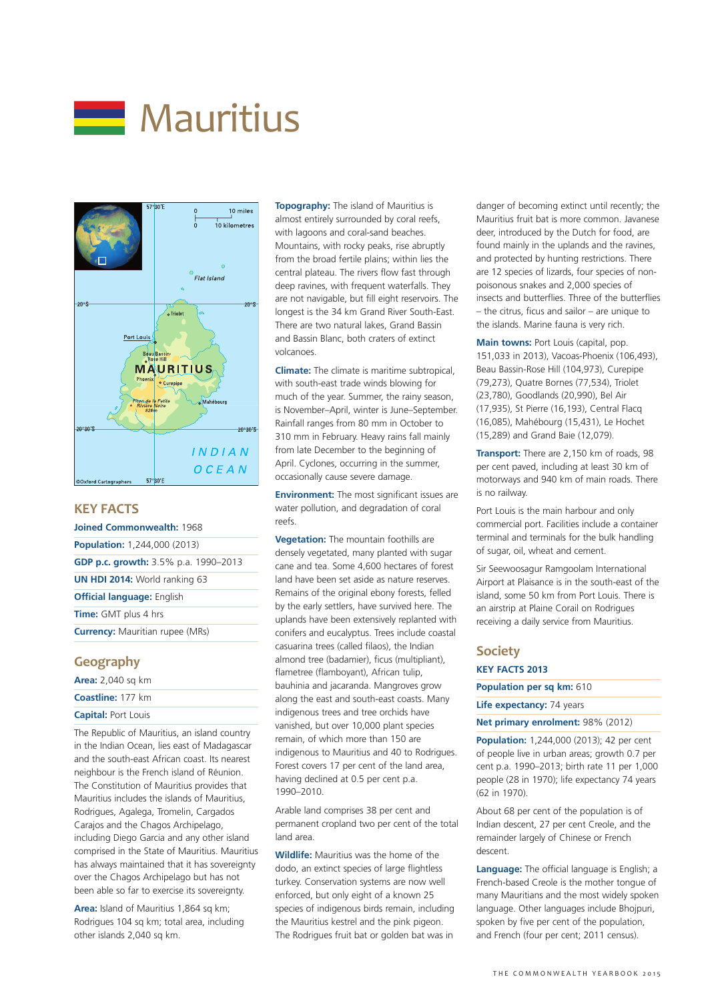



## **KEY FACTS**

| Joined Commonwealth: 1968              |
|----------------------------------------|
| <b>Population: 1,244,000 (2013)</b>    |
| GDP p.c. growth: 3.5% p.a. 1990-2013   |
| <b>UN HDI 2014:</b> World ranking 63   |
| <b>Official language: English</b>      |
| <b>Time:</b> GMT plus 4 hrs            |
| <b>Currency:</b> Mauritian rupee (MRs) |
| Geography<br><b>Area:</b> 2,040 sq km  |

**Coastline:** 177 km

**Capital:** Port Louis

The Republic of Mauritius, an island country in the Indian Ocean, lies east of Madagascar and the south-east African coast. Its nearest neighbour is the French island of Réunion. The Constitution of Mauritius provides that Mauritius includes the islands of Mauritius, Rodrigues, Agalega, Tromelin, Cargados Carajos and the Chagos Archipelago, including Diego Garcia and any other island comprised in the State of Mauritius. Mauritius has always maintained that it has sovereignty over the Chagos Archipelago but has not been able so far to exercise its sovereignty.

**Area:** Island of Mauritius 1,864 sq km; Rodrigues 104 sq km; total area, including other islands 2,040 sq km.

**Topography:** The island of Mauritius is almost entirely surrounded by coral reefs, with lagoons and coral-sand beaches. Mountains, with rocky peaks, rise abruptly from the broad fertile plains; within lies the central plateau. The rivers flow fast through deep ravines, with frequent waterfalls. They are not navigable, but fill eight reservoirs. The longest is the 34 km Grand River South-East. There are two natural lakes, Grand Bassin and Bassin Blanc, both craters of extinct volcanoes.

**Climate:** The climate is maritime subtropical, with south-east trade winds blowing for much of the year. Summer, the rainy season, is November–April, winter is June–September. Rainfall ranges from 80 mm in October to 310 mm in February. Heavy rains fall mainly from late December to the beginning of April. Cyclones, occurring in the summer, occasionally cause severe damage.

**Environment:** The most significant issues are water pollution, and degradation of coral reefs.

**Vegetation:** The mountain foothills are densely vegetated, many planted with sugar cane and tea. Some 4,600 hectares of forest land have been set aside as nature reserves. Remains of the original ebony forests, felled by the early settlers, have survived here. The uplands have been extensively replanted with conifers and eucalyptus. Trees include coastal casuarina trees (called filaos), the Indian almond tree (badamier), ficus (multipliant), flametree (flamboyant), African tulip, bauhinia and jacaranda. Mangroves grow along the east and south-east coasts. Many indigenous trees and tree orchids have vanished, but over 10,000 plant species remain, of which more than 150 are indigenous to Mauritius and 40 to Rodrigues. Forest covers 17 per cent of the land area, having declined at 0.5 per cent p.a. 1990–2010.

Arable land comprises 38 per cent and permanent cropland two per cent of the total land area.

**Wildlife:** Mauritius was the home of the dodo, an extinct species of large flightless turkey. Conservation systems are now well enforced, but only eight of a known 25 species of indigenous birds remain, including the Mauritius kestrel and the pink pigeon. The Rodrigues fruit bat or golden bat was in

danger of becoming extinct until recently; the Mauritius fruit bat is more common. Javanese deer, introduced by the Dutch for food, are found mainly in the uplands and the ravines, and protected by hunting restrictions. There are 12 species of lizards, four species of nonpoisonous snakes and 2,000 species of insects and butterflies. Three of the butterflies – the citrus, ficus and sailor – are unique to the islands. Marine fauna is very rich.

**Main towns:** Port Louis (capital, pop. 151,033 in 2013), Vacoas-Phoenix (106,493), Beau Bassin-Rose Hill (104,973), Curepipe (79,273), Quatre Bornes (77,534), Triolet (23,780), Goodlands (20,990), Bel Air (17,935), St Pierre (16,193), Central Flacq (16,085), Mahébourg (15,431), Le Hochet (15,289) and Grand Baie (12,079).

**Transport:** There are 2,150 km of roads, 98 per cent paved, including at least 30 km of motorways and 940 km of main roads. There is no railway.

Port Louis is the main harbour and only commercial port. Facilities include a container terminal and terminals for the bulk handling of sugar, oil, wheat and cement.

Sir Seewoosagur Ramgoolam International Airport at Plaisance is in the south-east of the island, some 50 km from Port Louis. There is an airstrip at Plaine Corail on Rodrigues receiving a daily service from Mauritius.

## **Society**

#### **KEY FACTS 2013**

| Population per sq km: 610 |  |
|---------------------------|--|
| Life expectancy: 74 years |  |

**Net primary enrolment:** 98% (2012)

**Population:** 1,244,000 (2013); 42 per cent of people live in urban areas; growth 0.7 per cent p.a. 1990–2013; birth rate 11 per 1,000 people (28 in 1970); life expectancy 74 years (62 in 1970).

About 68 per cent of the population is of Indian descent, 27 per cent Creole, and the remainder largely of Chinese or French descent.

**Language:** The official language is English; a French-based Creole is the mother tongue of many Mauritians and the most widely spoken language. Other languages include Bhojpuri, spoken by five per cent of the population, and French (four per cent; 2011 census).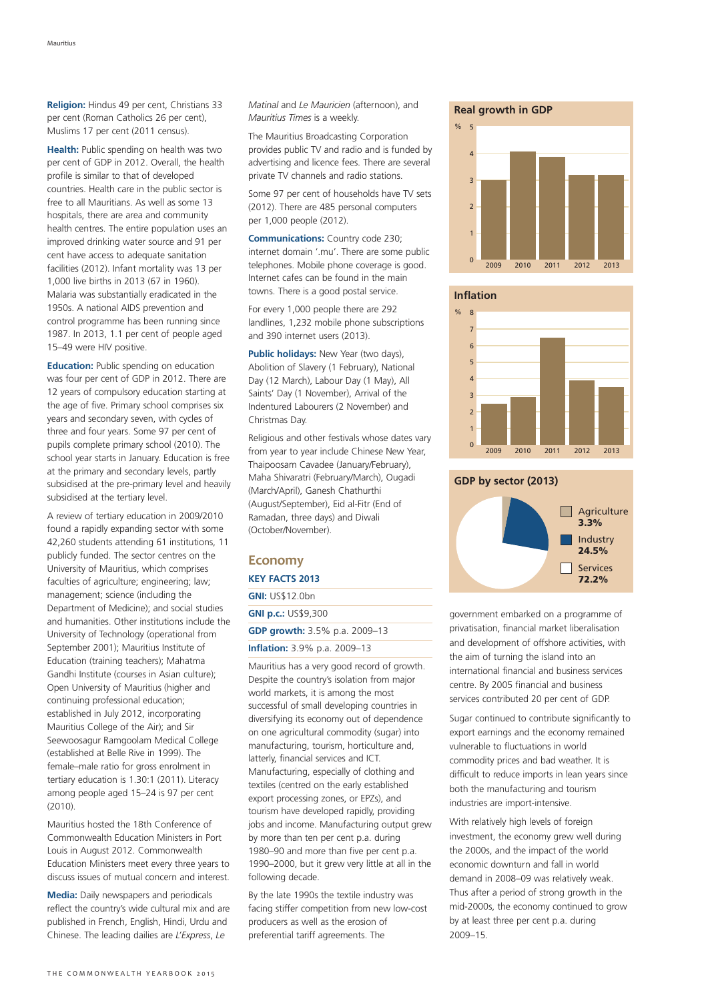**Religion:** Hindus 49 per cent, Christians 33 per cent (Roman Catholics 26 per cent), Muslims 17 per cent (2011 census).

**Health:** Public spending on health was two per cent of GDP in 2012. Overall, the health profile is similar to that of developed countries. Health care in the public sector is free to all Mauritians. As well as some 13 hospitals, there are area and community health centres. The entire population uses an improved drinking water source and 91 per cent have access to adequate sanitation facilities (2012). Infant mortality was 13 per 1,000 live births in 2013 (67 in 1960). Malaria was substantially eradicated in the 1950s. A national AIDS prevention and control programme has been running since 1987. In 2013, 1.1 per cent of people aged 15–49 were HIV positive.

**Education:** Public spending on education was four per cent of GDP in 2012. There are 12 years of compulsory education starting at the age of five. Primary school comprises six years and secondary seven, with cycles of three and four years. Some 97 per cent of pupils complete primary school (2010). The school year starts in January. Education is free at the primary and secondary levels, partly subsidised at the pre-primary level and heavily subsidised at the tertiary level.

A review of tertiary education in 2009/2010 found a rapidly expanding sector with some 42,260 students attending 61 institutions, 11 publicly funded. The sector centres on the University of Mauritius, which comprises faculties of agriculture; engineering; law; management; science (including the Department of Medicine); and social studies and humanities. Other institutions include the University of Technology (operational from September 2001); Mauritius Institute of Education (training teachers); Mahatma Gandhi Institute (courses in Asian culture); Open University of Mauritius (higher and continuing professional education; established in July 2012, incorporating Mauritius College of the Air); and Sir Seewoosagur Ramgoolam Medical College (established at Belle Rive in 1999). The female–male ratio for gross enrolment in tertiary education is 1.30:1 (2011). Literacy among people aged 15–24 is 97 per cent (2010).

Mauritius hosted the 18th Conference of Commonwealth Education Ministers in Port Louis in August 2012. Commonwealth Education Ministers meet every three years to discuss issues of mutual concern and interest.

**Media:** Daily newspapers and periodicals reflect the country's wide cultural mix and are published in French, English, Hindi, Urdu and Chinese. The leading dailies are *L'Express*, *Le*

*Matinal* and *Le Mauricien* (afternoon), and *Mauritius Times* is a weekly.

The Mauritius Broadcasting Corporation provides public TV and radio and is funded by advertising and licence fees. There are several private TV channels and radio stations.

Some 97 per cent of households have TV sets (2012). There are 485 personal computers per 1,000 people (2012).

**Communications:** Country code 230; internet domain '.mu'. There are some public telephones. Mobile phone coverage is good. Internet cafes can be found in the main towns. There is a good postal service.

For every 1,000 people there are 292 landlines, 1,232 mobile phone subscriptions and 390 internet users (2013).

**Public holidays:** New Year (two days), Abolition of Slavery (1 February), National Day (12 March), Labour Day (1 May), All Saints' Day (1 November), Arrival of the Indentured Labourers (2 November) and Christmas Day.

Religious and other festivals whose dates vary from year to year include Chinese New Year, Thaipoosam Cavadee (January/February), Maha Shivaratri (February/March), Ougadi (March/April), Ganesh Chathurthi (August/September), Eid al-Fitr (End of Ramadan, three days) and Diwali (October/November).

#### **Economy KEY FACTS 2013**

**GNI:** US\$12.0bn **GNI p.c.:** US\$9,300 **GDP growth:** 3.5% p.a. 2009–13

**Inflation:** 3.9% p.a. 2009–13

Mauritius has a very good record of growth. Despite the country's isolation from major world markets, it is among the most successful of small developing countries in diversifying its economy out of dependence on one agricultural commodity (sugar) into manufacturing, tourism, horticulture and, latterly, financial services and ICT. Manufacturing, especially of clothing and textiles (centred on the early established export processing zones, or EPZs), and tourism have developed rapidly, providing jobs and income. Manufacturing output grew by more than ten per cent p.a. during 1980–90 and more than five per cent p.a. 1990–2000, but it grew very little at all in the following decade.

By the late 1990s the textile industry was facing stiffer competition from new low-cost producers as well as the erosion of preferential tariff agreements. The

#### **Real growth in GDP**









government embarked on a programme of privatisation, financial market liberalisation and development of offshore activities, with the aim of turning the island into an international financial and business services centre. By 2005 financial and business services contributed 20 per cent of GDP.

Sugar continued to contribute significantly to export earnings and the economy remained vulnerable to fluctuations in world commodity prices and bad weather. It is difficult to reduce imports in lean years since both the manufacturing and tourism industries are import-intensive.

With relatively high levels of foreign investment, the economy grew well during the 2000s, and the impact of the world economic downturn and fall in world demand in 2008–09 was relatively weak. Thus after a period of strong growth in the mid-2000s, the economy continued to grow by at least three per cent p.a. during 2009–15.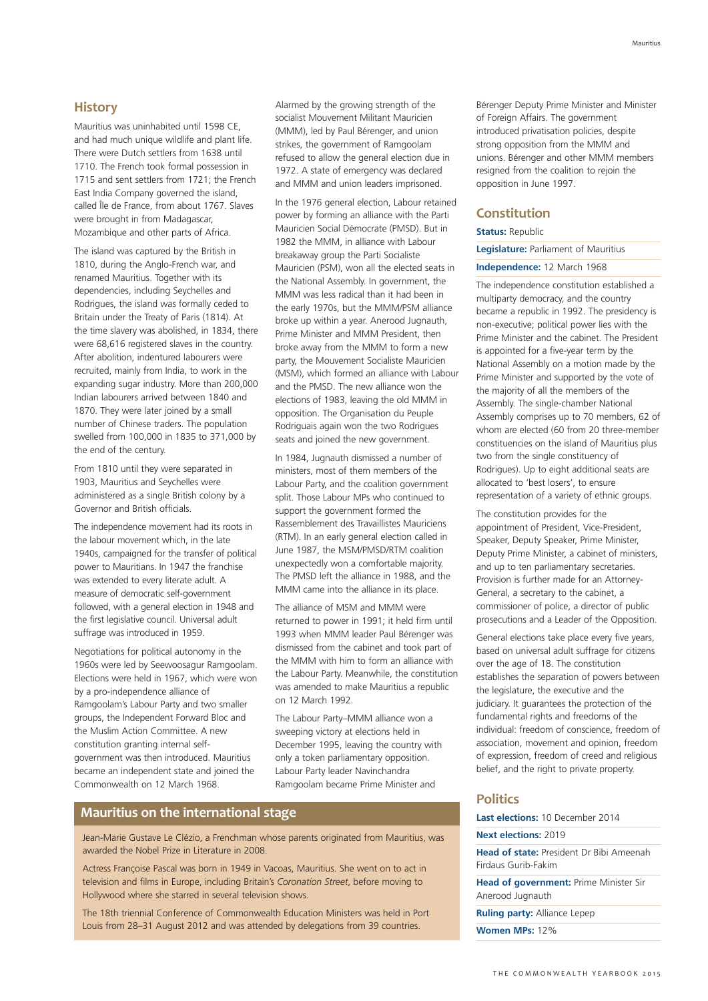#### **History**

Mauritius was uninhabited until 1598 CE, and had much unique wildlife and plant life. There were Dutch settlers from 1638 until 1710. The French took formal possession in 1715 and sent settlers from 1721; the French East India Company governed the island, called Île de France, from about 1767. Slaves were brought in from Madagascar, Mozambique and other parts of Africa.

The island was captured by the British in 1810, during the Anglo-French war, and renamed Mauritius. Together with its dependencies, including Seychelles and Rodrigues, the island was formally ceded to Britain under the Treaty of Paris (1814). At the time slavery was abolished, in 1834, there were 68,616 registered slaves in the country. After abolition, indentured labourers were recruited, mainly from India, to work in the expanding sugar industry. More than 200,000 Indian labourers arrived between 1840 and 1870. They were later joined by a small number of Chinese traders. The population swelled from 100,000 in 1835 to 371,000 by the end of the century.

From 1810 until they were separated in 1903, Mauritius and Seychelles were administered as a single British colony by a Governor and British officials.

The independence movement had its roots in the labour movement which, in the late 1940s, campaigned for the transfer of political power to Mauritians. In 1947 the franchise was extended to every literate adult. A measure of democratic self-government followed, with a general election in 1948 and the first legislative council. Universal adult suffrage was introduced in 1959.

Negotiations for political autonomy in the 1960s were led by Seewoosagur Ramgoolam. Elections were held in 1967, which were won by a pro-independence alliance of Ramgoolam's Labour Party and two smaller groups, the Independent Forward Bloc and the Muslim Action Committee. A new constitution granting internal selfgovernment was then introduced. Mauritius became an independent state and joined the Commonwealth on 12 March 1968.

Alarmed by the growing strength of the socialist Mouvement Militant Mauricien (MMM), led by Paul Bérenger, and union strikes, the government of Ramgoolam refused to allow the general election due in 1972. A state of emergency was declared and MMM and union leaders imprisoned.

In the 1976 general election, Labour retained power by forming an alliance with the Parti Mauricien Social Démocrate (PMSD). But in 1982 the MMM, in alliance with Labour breakaway group the Parti Socialiste Mauricien (PSM), won all the elected seats in the National Assembly. In government, the MMM was less radical than it had been in the early 1970s, but the MMM/PSM alliance broke up within a year. Anerood Jugnauth, Prime Minister and MMM President, then broke away from the MMM to form a new party, the Mouvement Socialiste Mauricien (MSM), which formed an alliance with Labour and the PMSD. The new alliance won the elections of 1983, leaving the old MMM in opposition. The Organisation du Peuple Rodriguais again won the two Rodrigues seats and joined the new government.

In 1984, Jugnauth dismissed a number of ministers, most of them members of the Labour Party, and the coalition government split. Those Labour MPs who continued to support the government formed the Rassemblement des Travaillistes Mauriciens (RTM). In an early general election called in June 1987, the MSM/PMSD/RTM coalition unexpectedly won a comfortable majority. The PMSD left the alliance in 1988, and the MMM came into the alliance in its place.

The alliance of MSM and MMM were returned to power in 1991; it held firm until 1993 when MMM leader Paul Bérenger was dismissed from the cabinet and took part of the MMM with him to form an alliance with the Labour Party. Meanwhile, the constitution was amended to make Mauritius a republic on 12 March 1992.

The Labour Party–MMM alliance won a sweeping victory at elections held in December 1995, leaving the country with only a token parliamentary opposition. Labour Party leader Navinchandra Ramgoolam became Prime Minister and

#### **Mauritius on the international stage**

Jean-Marie Gustave Le Clézio, a Frenchman whose parents originated from Mauritius, was awarded the Nobel Prize in Literature in 2008.

Actress Françoise Pascal was born in 1949 in Vacoas, Mauritius. She went on to act in television and films in Europe, including Britain's *Coronation Street*, before moving to Hollywood where she starred in several television shows.

The 18th triennial Conference of Commonwealth Education Ministers was held in Port Louis from 28–31 August 2012 and was attended by delegations from 39 countries.

Bérenger Deputy Prime Minister and Minister of Foreign Affairs. The government introduced privatisation policies, despite strong opposition from the MMM and unions. Bérenger and other MMM members resigned from the coalition to rejoin the opposition in June 1997.

#### **Constitution**

**Status:** Republic

**Legislature:** Parliament of Mauritius

**Independence:** 12 March 1968

The independence constitution established a multiparty democracy, and the country became a republic in 1992. The presidency is non-executive; political power lies with the Prime Minister and the cabinet. The President is appointed for a five-year term by the National Assembly on a motion made by the Prime Minister and supported by the vote of the majority of all the members of the Assembly. The single-chamber National Assembly comprises up to 70 members, 62 of whom are elected (60 from 20 three-member constituencies on the island of Mauritius plus two from the single constituency of Rodrigues). Up to eight additional seats are allocated to 'best losers', to ensure representation of a variety of ethnic groups.

The constitution provides for the appointment of President, Vice-President, Speaker, Deputy Speaker, Prime Minister, Deputy Prime Minister, a cabinet of ministers, and up to ten parliamentary secretaries. Provision is further made for an Attorney-General, a secretary to the cabinet, a commissioner of police, a director of public prosecutions and a Leader of the Opposition.

General elections take place every five years, based on universal adult suffrage for citizens over the age of 18. The constitution establishes the separation of powers between the legislature, the executive and the judiciary. It guarantees the protection of the fundamental rights and freedoms of the individual: freedom of conscience, freedom of association, movement and opinion, freedom of expression, freedom of creed and religious belief, and the right to private property.

### **Politics**

**Last elections:** 10 December 2014

**Next elections:** 2019

**Head of state:** President Dr Bibi Ameenah Firdaus Gurib-Fakim

**Head of government:** Prime Minister Sir Anerood Jugnauth

**Ruling party:** Alliance Lepep

**Women MPs:** 12%